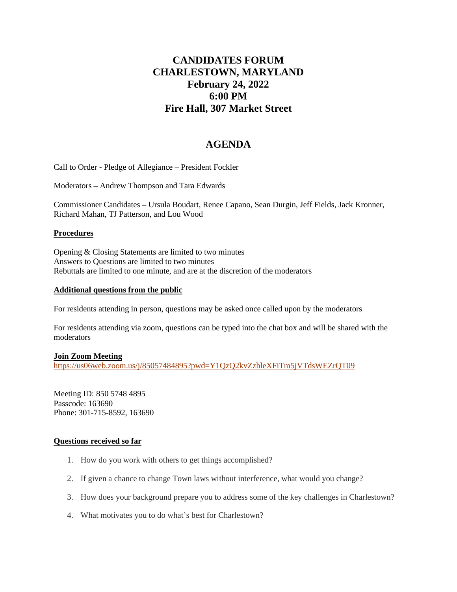# **CANDIDATES FORUM CHARLESTOWN, MARYLAND February 24, 2022 6:00 PM Fire Hall, 307 Market Street**

## **AGENDA**

Call to Order - Pledge of Allegiance – President Fockler

Moderators – Andrew Thompson and Tara Edwards

Commissioner Candidates – Ursula Boudart, Renee Capano, Sean Durgin, Jeff Fields, Jack Kronner, Richard Mahan, TJ Patterson, and Lou Wood

#### **Procedures**

Opening & Closing Statements are limited to two minutes Answers to Questions are limited to two minutes Rebuttals are limited to one minute, and are at the discretion of the moderators

#### **Additional questions from the public**

For residents attending in person, questions may be asked once called upon by the moderators

For residents attending via zoom, questions can be typed into the chat box and will be shared with the moderators

## **Join Zoom Meeting**

<https://us06web.zoom.us/j/85057484895?pwd=Y1QzQ2kvZzhleXFiTm5jVTdsWEZrQT09>

Meeting ID: 850 5748 4895 Passcode: 163690 Phone: 301-715-8592, 163690

## **Questions received so far**

- 1. How do you work with others to get things accomplished?
- 2. If given a chance to change Town laws without interference, what would you change?
- 3. How does your background prepare you to address some of the key challenges in Charlestown?
- 4. What motivates you to do what's best for Charlestown?